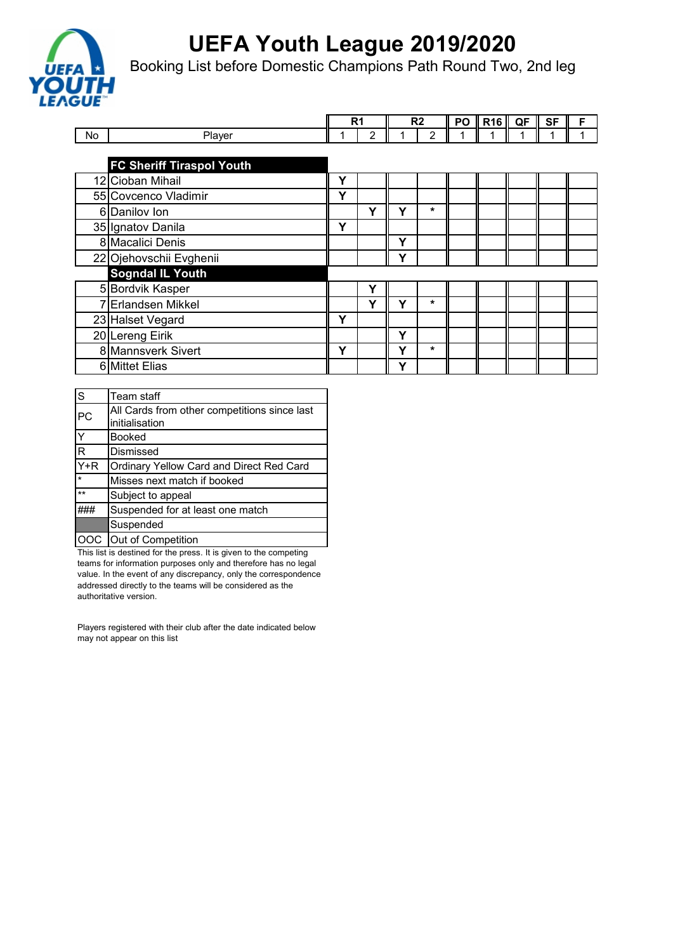

Booking List before Domestic Champions Path Round Two, 2nd leg

|    |                                  |   | R <sub>1</sub> | R <sub>2</sub> |         | PO | <b>R16</b> | QF | <b>SF</b> | F |
|----|----------------------------------|---|----------------|----------------|---------|----|------------|----|-----------|---|
| No | Player                           |   | 2              |                | 2       |    |            |    |           |   |
|    |                                  |   |                |                |         |    |            |    |           |   |
|    | <b>FC Sheriff Tiraspol Youth</b> |   |                |                |         |    |            |    |           |   |
|    | 12 Cioban Mihail                 | Υ |                |                |         |    |            |    |           |   |
|    | 55 Covcenco Vladimir             | Υ |                |                |         |    |            |    |           |   |
|    | 6 Danilov Ion                    |   | Υ              | Υ              | *       |    |            |    |           |   |
|    | 35 Ignatov Danila                | Y |                |                |         |    |            |    |           |   |
|    | 8 Macalici Denis                 |   |                | Υ              |         |    |            |    |           |   |
|    | 22 Ojehovschii Evghenii          |   |                | Υ              |         |    |            |    |           |   |
|    | <b>Sogndal IL Youth</b>          |   |                |                |         |    |            |    |           |   |
|    | 5 Bordvik Kasper                 |   | Υ              |                |         |    |            |    |           |   |
|    | 7 Erlandsen Mikkel               |   | Υ              | Υ              | *       |    |            |    |           |   |
|    | 23 Halset Vegard                 | Y |                |                |         |    |            |    |           |   |
|    | 20 Lereng Eirik                  |   |                | Υ              |         |    |            |    |           |   |
|    | 8 Mannsverk Sivert               | Υ |                | Υ              | $\star$ |    |            |    |           |   |
|    | 6 Mittet Elias                   |   |                | Υ              |         |    |            |    |           |   |

| S                 | Team staff                                   |
|-------------------|----------------------------------------------|
| PC                | All Cards from other competitions since last |
|                   | initialisation                               |
| Y                 | <b>Booked</b>                                |
| R                 | Dismissed                                    |
| $\overline{Y}$ +R | Ordinary Yellow Card and Direct Red Card     |
| $\star$           | Misses next match if booked                  |
| $***$             | Subject to appeal                            |
|                   | Suspended for at least one match             |
|                   | Suspended                                    |
| lOOC .            | Out of Competition                           |

This list is destined for the press. It is given to the competing teams for information purposes only and therefore has no legal value. In the event of any discrepancy, only the correspondence addressed directly to the teams will be considered as the authoritative version.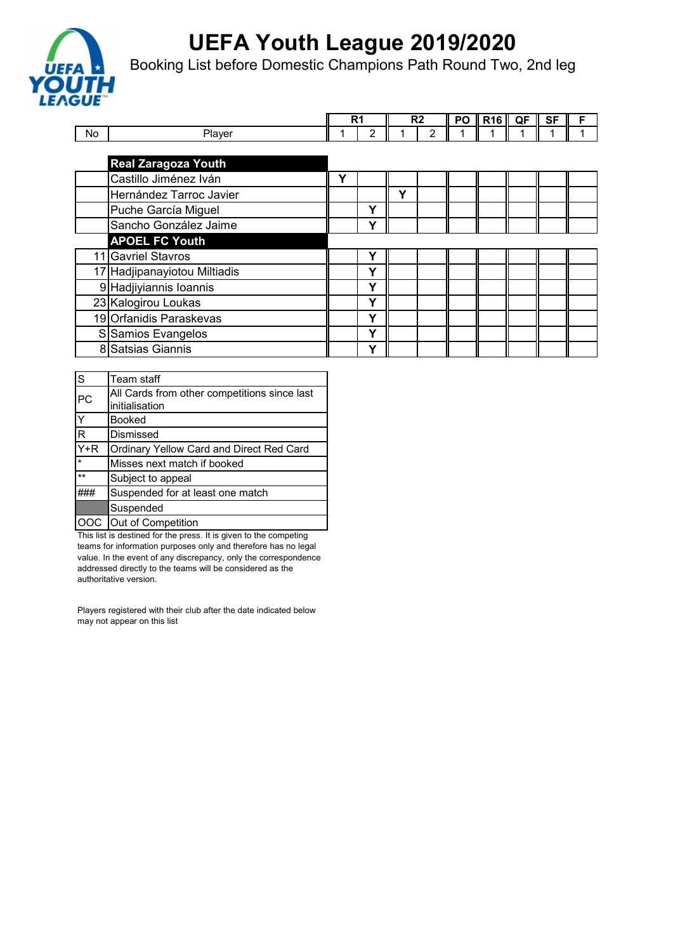

Booking List before Domestic Champions Path Round Two, 2nd leg

|    |                              | R <sub>1</sub> |   | R <sub>2</sub> |               | PO | <b>R16</b> | QF | <b>SF</b> |  |
|----|------------------------------|----------------|---|----------------|---------------|----|------------|----|-----------|--|
| No | Player                       |                | 2 |                | $\mathcal{P}$ |    |            |    |           |  |
|    |                              |                |   |                |               |    |            |    |           |  |
|    | <b>Real Zaragoza Youth</b>   |                |   |                |               |    |            |    |           |  |
|    | Castillo Jiménez Iván        | Υ              |   |                |               |    |            |    |           |  |
|    | Hernández Tarroc Javier      |                |   | Υ              |               |    |            |    |           |  |
|    | Puche García Miguel          |                | Υ |                |               |    |            |    |           |  |
|    | Sancho González Jaime        |                | Υ |                |               |    |            |    |           |  |
|    | <b>APOEL FC Youth</b>        |                |   |                |               |    |            |    |           |  |
|    | 11 Gavriel Stavros           |                | Υ |                |               |    |            |    |           |  |
|    | 17 Hadjipanayiotou Miltiadis |                | Υ |                |               |    |            |    |           |  |
|    | 9 Hadjiyiannis Ioannis       |                | Υ |                |               |    |            |    |           |  |
|    | 23 Kalogirou Loukas          |                | Y |                |               |    |            |    |           |  |
|    | 19 Orfanidis Paraskevas      |                | Υ |                |               |    |            |    |           |  |
|    | S Samios Evangelos           |                | Υ |                |               |    |            |    |           |  |
|    | 8 Satsias Giannis            |                | Υ |                |               |    |            |    |           |  |

| $\overline{\mathsf{s}}$ | Team staff                                      |
|-------------------------|-------------------------------------------------|
| PC                      | All Cards from other competitions since last    |
|                         | initialisation                                  |
| Y                       | <b>Booked</b>                                   |
| $\overline{\mathsf{R}}$ | Dismissed                                       |
| $\overline{Y}$ +R       | <b>Ordinary Yellow Card and Direct Red Card</b> |
| $\star$                 | Misses next match if booked                     |
| $**$                    | Subject to appeal                               |
|                         | Suspended for at least one match                |
|                         | Suspended                                       |
| lOOC .                  | Out of Competition                              |

This list is destined for the press. It is given to the competing teams for information purposes only and therefore has no legal value. In the event of any discrepancy, only the correspondence addressed directly to the teams will be considered as the authoritative version.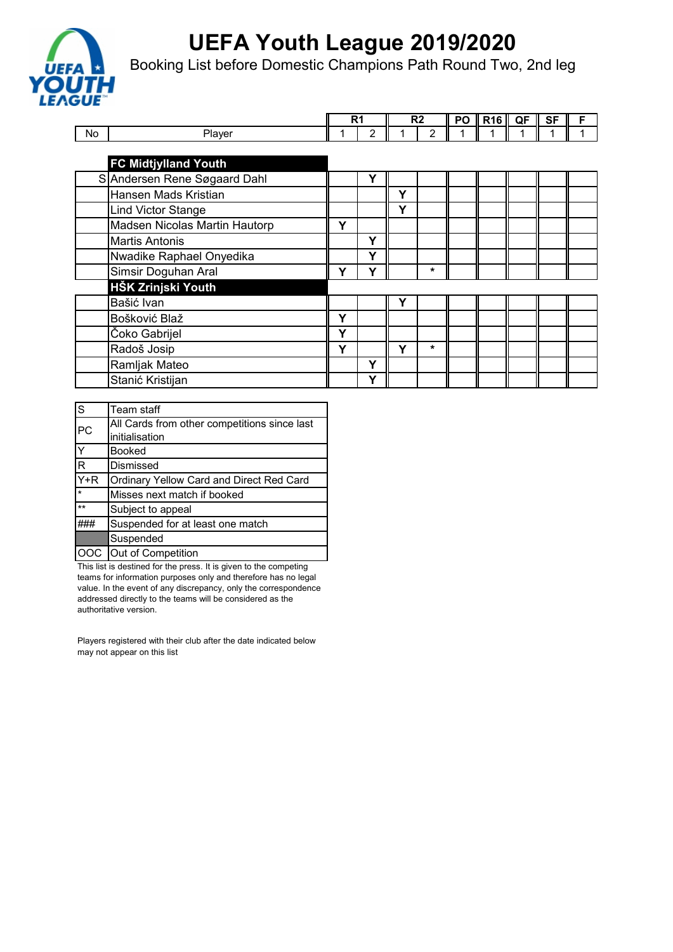

Booking List before Domestic Champions Path Round Two, 2nd leg

|           |                               |   | R <sub>1</sub> |   | R <sub>2</sub> | PO | <b>R16</b> | QF | SF | F |
|-----------|-------------------------------|---|----------------|---|----------------|----|------------|----|----|---|
|           |                               |   |                |   |                |    |            |    |    |   |
| <b>No</b> | Player                        |   | 2              |   | $\overline{2}$ |    |            |    |    |   |
|           |                               |   |                |   |                |    |            |    |    |   |
|           | <b>FC Midtjylland Youth</b>   |   |                |   |                |    |            |    |    |   |
|           | SAndersen Rene Søgaard Dahl   |   | Υ              |   |                |    |            |    |    |   |
|           | Hansen Mads Kristian          |   |                | Y |                |    |            |    |    |   |
|           | <b>Lind Victor Stange</b>     |   |                | Υ |                |    |            |    |    |   |
|           | Madsen Nicolas Martin Hautorp | Y |                |   |                |    |            |    |    |   |
|           | <b>Martis Antonis</b>         |   | Υ              |   |                |    |            |    |    |   |
|           | Nwadike Raphael Onyedika      |   | Υ              |   |                |    |            |    |    |   |
|           | Simsir Doguhan Aral           | Υ | Y              |   | *              |    |            |    |    |   |
|           | HŠK Zrinjski Youth            |   |                |   |                |    |            |    |    |   |
|           | Bašić Ivan                    |   |                | Υ |                |    |            |    |    |   |
|           | Bošković Blaž                 | Y |                |   |                |    |            |    |    |   |
|           | Čoko Gabrijel                 | Y |                |   |                |    |            |    |    |   |
|           | Radoš Josip                   | Υ |                | Y | $\star$        |    |            |    |    |   |
|           | Ramljak Mateo                 |   | Υ              |   |                |    |            |    |    |   |
|           | Stanić Kristijan              |   | Υ              |   |                |    |            |    |    |   |

| $\overline{\mathsf{s}}$ | Team staff                                      |
|-------------------------|-------------------------------------------------|
| PC                      | All Cards from other competitions since last    |
|                         | initialisation                                  |
| $\overline{\mathsf{Y}}$ | <b>Booked</b>                                   |
| $\overline{\mathsf{R}}$ | Dismissed                                       |
| $\overline{Y}$ +R       | <b>Ordinary Yellow Card and Direct Red Card</b> |
|                         | Misses next match if booked                     |
| $\star\star$            | Subject to appeal                               |
|                         | Suspended for at least one match                |
|                         | Suspended                                       |
| lOOC .                  | Out of Competition                              |

This list is destined for the press. It is given to the competing teams for information purposes only and therefore has no legal value. In the event of any discrepancy, only the correspondence addressed directly to the teams will be considered as the authoritative version.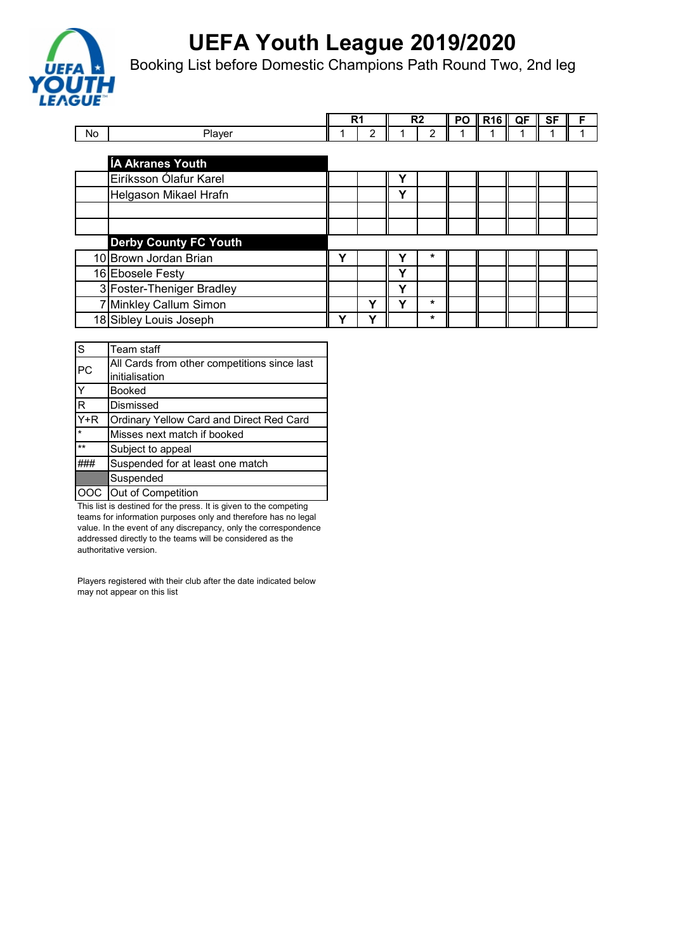

Booking List before Domestic Champions Path Round Two, 2nd leg

|    |                              |   | R1 |              | R <sub>2</sub> | <b>PO</b> | <b>R16</b> | QF | SF | F |
|----|------------------------------|---|----|--------------|----------------|-----------|------------|----|----|---|
| No | Player                       |   | 2  |              | 2              |           |            |    |    |   |
|    |                              |   |    |              |                |           |            |    |    |   |
|    | <b>ÍA Akranes Youth</b>      |   |    |              |                |           |            |    |    |   |
|    | Eiríksson Ólafur Karel       |   |    |              |                |           |            |    |    |   |
|    | Helgason Mikael Hrafn        |   |    | v            |                |           |            |    |    |   |
|    |                              |   |    |              |                |           |            |    |    |   |
|    |                              |   |    |              |                |           |            |    |    |   |
|    | <b>Derby County FC Youth</b> |   |    |              |                |           |            |    |    |   |
|    | 10 Brown Jordan Brian        | Υ |    |              | *              |           |            |    |    |   |
|    | 16 Ebosele Festy             |   |    | v            |                |           |            |    |    |   |
|    | 3 Foster-Theniger Bradley    |   |    | $\checkmark$ |                |           |            |    |    |   |
|    | 7 Minkley Callum Simon       |   | v  |              | $\star$        |           |            |    |    |   |
|    | 18 Sibley Louis Joseph       | v | v  |              | *              |           |            |    |    |   |

| s                       | Team staff                                   |
|-------------------------|----------------------------------------------|
| PC                      | All Cards from other competitions since last |
|                         | initialisation                               |
| $\overline{\mathsf{Y}}$ | <b>Booked</b>                                |
| $\overline{\mathsf{R}}$ | Dismissed                                    |
| $\overline{Y+R}$        | Ordinary Yellow Card and Direct Red Card     |
| $\star$                 | Misses next match if booked                  |
| $\star\star$            | Subject to appeal                            |
|                         | Suspended for at least one match             |
|                         | Suspended                                    |
|                         | OOC Out of Competition                       |

This list is destined for the press. It is given to the competing teams for information purposes only and therefore has no legal value. In the event of any discrepancy, only the correspondence addressed directly to the teams will be considered as the authoritative version.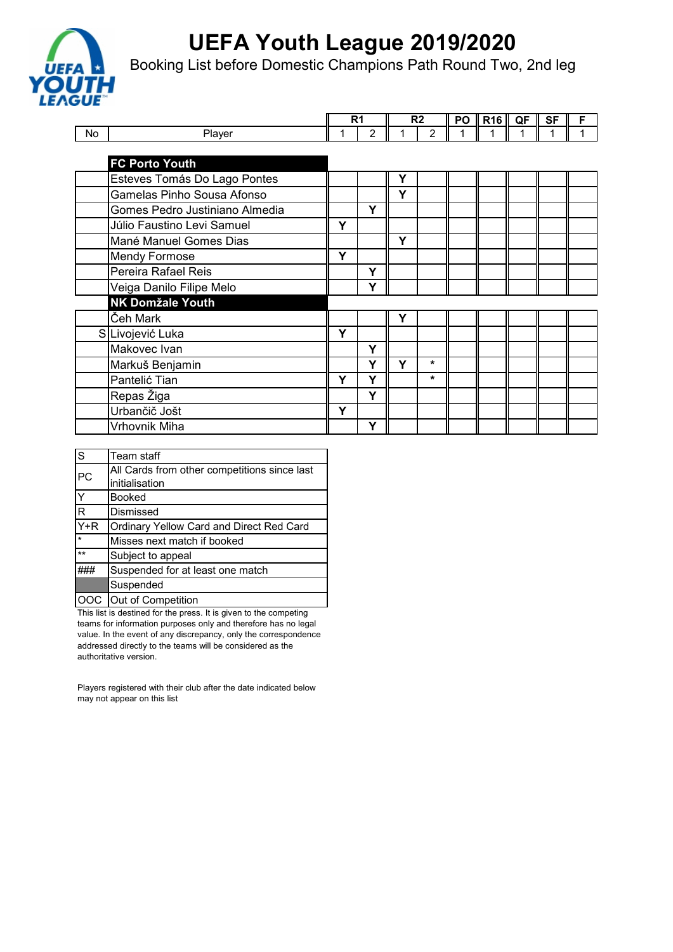

Booking List before Domestic Champions Path Round Two, 2nd leg

|    |                                |   | R <sub>1</sub> |   | R <sub>2</sub> | PO | <b>R16</b> | QF | <b>SF</b> | F |
|----|--------------------------------|---|----------------|---|----------------|----|------------|----|-----------|---|
| No | Player                         |   | $\overline{2}$ |   | 2              |    |            |    |           |   |
|    |                                |   |                |   |                |    |            |    |           |   |
|    | <b>FC Porto Youth</b>          |   |                |   |                |    |            |    |           |   |
|    | Esteves Tomás Do Lago Pontes   |   |                | Υ |                |    |            |    |           |   |
|    | Gamelas Pinho Sousa Afonso     |   |                | Y |                |    |            |    |           |   |
|    | Gomes Pedro Justiniano Almedia |   | Y              |   |                |    |            |    |           |   |
|    | Júlio Faustino Levi Samuel     | Υ |                |   |                |    |            |    |           |   |
|    | Mané Manuel Gomes Dias         |   |                | Y |                |    |            |    |           |   |
|    | <b>Mendy Formose</b>           | Y |                |   |                |    |            |    |           |   |
|    | Pereira Rafael Reis            |   | Y              |   |                |    |            |    |           |   |
|    | Veiga Danilo Filipe Melo       |   | Y              |   |                |    |            |    |           |   |
|    | <b>NK Domžale Youth</b>        |   |                |   |                |    |            |    |           |   |
|    | Čeh Mark                       |   |                | Υ |                |    |            |    |           |   |
|    | S Livojević Luka               | Y |                |   |                |    |            |    |           |   |
|    | Makovec Ivan                   |   | Y              |   |                |    |            |    |           |   |
|    | Markuš Benjamin                |   | Υ              | Y | $\star$        |    |            |    |           |   |
|    | Pantelić Tian                  | Y | Y              |   | $\star$        |    |            |    |           |   |
|    | Repas Žiga                     |   | Y              |   |                |    |            |    |           |   |
|    | Urbančič Jošt                  | Υ |                |   |                |    |            |    |           |   |
|    | Vrhovnik Miha                  |   | Y              |   |                |    |            |    |           |   |

| S            | Team staff                                   |
|--------------|----------------------------------------------|
| PC           | All Cards from other competitions since last |
|              | initialisation                               |
| Y            | <b>Booked</b>                                |
| R            | Dismissed                                    |
| $Y + R$      | Ordinary Yellow Card and Direct Red Card     |
| $\star$      | Misses next match if booked                  |
| $\star\star$ | Subject to appeal                            |
|              | Suspended for at least one match             |
|              | Suspended                                    |
|              | Out of Competition                           |

This list is destined for the press. It is given to the competing teams for information purposes only and therefore has no legal value. In the event of any discrepancy, only the correspondence addressed directly to the teams will be considered as the authoritative version.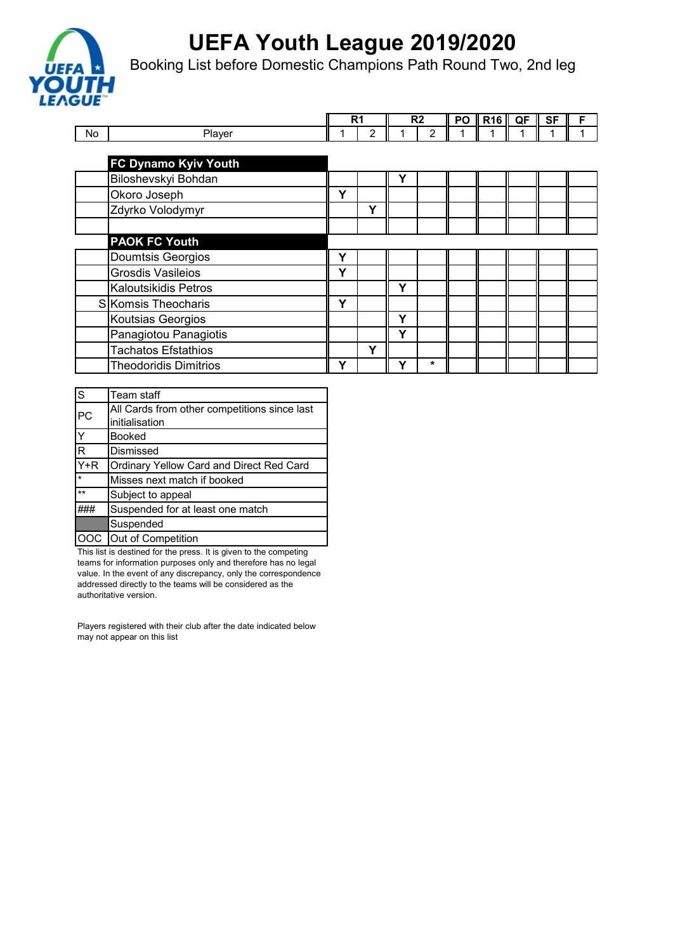

Booking List before Domestic Champions Path Round Two, 2nd leg

|           |                              |   | R1             |   | R <sub>2</sub> | PO | <b>R16</b> | QF | <b>SF</b> | F |
|-----------|------------------------------|---|----------------|---|----------------|----|------------|----|-----------|---|
| <b>No</b> | Player                       |   | $\overline{2}$ |   | $\mathfrak{p}$ |    |            |    |           |   |
|           |                              |   |                |   |                |    |            |    |           |   |
|           | <b>FC Dynamo Kyiv Youth</b>  |   |                |   |                |    |            |    |           |   |
|           | Biloshevskyi Bohdan          |   |                | Υ |                |    |            |    |           |   |
|           | Okoro Joseph                 | Υ |                |   |                |    |            |    |           |   |
|           | Zdyrko Volodymyr             |   | Υ              |   |                |    |            |    |           |   |
|           |                              |   |                |   |                |    |            |    |           |   |
|           | <b>PAOK FC Youth</b>         |   |                |   |                |    |            |    |           |   |
|           | Doumtsis Georgios            | Υ |                |   |                |    |            |    |           |   |
|           | Grosdis Vasileios            | Υ |                |   |                |    |            |    |           |   |
|           | <b>Kaloutsikidis Petros</b>  |   |                | Υ |                |    |            |    |           |   |
|           | SKomsis Theocharis           | Υ |                |   |                |    |            |    |           |   |
|           | Koutsias Georgios            |   |                | Υ |                |    |            |    |           |   |
|           | Panagiotou Panagiotis        |   |                | Υ |                |    |            |    |           |   |
|           | <b>Tachatos Efstathios</b>   |   | Υ              |   |                |    |            |    |           |   |
|           | <b>Theodoridis Dimitrios</b> | Υ |                | ν | *              |    |            |    |           |   |

| S            | Team staff                                   |
|--------------|----------------------------------------------|
| PC.          | All Cards from other competitions since last |
|              | initialisation                               |
|              | <b>Booked</b>                                |
| R            | Dismissed                                    |
| $Y+R$        | Ordinary Yellow Card and Direct Red Card     |
| $\star$      | Misses next match if booked                  |
| $\star\star$ | Subject to appeal                            |
|              | Suspended for at least one match             |
|              | Suspended                                    |
|              | Out of Competition                           |

This list is destined for the press. It is given to the competing teams for information purposes only and therefore has no legal value. In the event of any discrepancy, only the correspondence addressed directly to the teams will be considered as the authoritative version.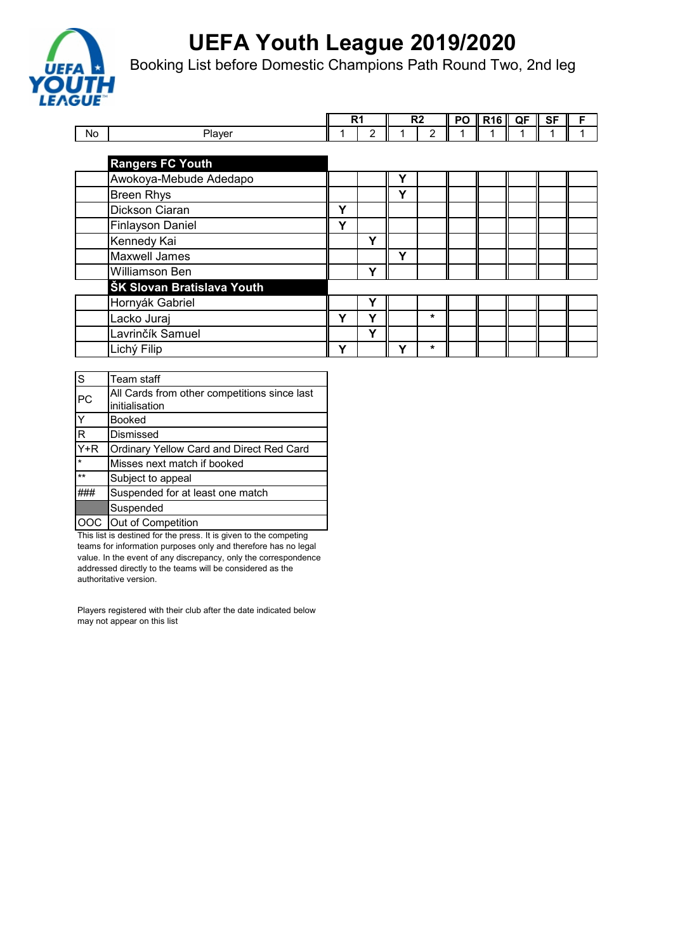

Booking List before Domestic Champions Path Round Two, 2nd leg

|           |                            |   | R1 | R2 |         | PO | <b>R16</b> | QF | <b>SF</b> | F |
|-----------|----------------------------|---|----|----|---------|----|------------|----|-----------|---|
| <b>No</b> | Player                     |   | 2  |    | 2       |    |            |    |           |   |
|           |                            |   |    |    |         |    |            |    |           |   |
|           | <b>Rangers FC Youth</b>    |   |    |    |         |    |            |    |           |   |
|           | Awokoya-Mebude Adedapo     |   |    | γ  |         |    |            |    |           |   |
|           | <b>Breen Rhys</b>          |   |    | Υ  |         |    |            |    |           |   |
|           | Dickson Ciaran             | Υ |    |    |         |    |            |    |           |   |
|           | <b>Finlayson Daniel</b>    | Υ |    |    |         |    |            |    |           |   |
|           | Kennedy Kai                |   | Υ  |    |         |    |            |    |           |   |
|           | <b>Maxwell James</b>       |   |    | Y  |         |    |            |    |           |   |
|           | Williamson Ben             |   | Υ  |    |         |    |            |    |           |   |
|           | ŠK Slovan Bratislava Youth |   |    |    |         |    |            |    |           |   |
|           | Hornyák Gabriel            |   | Υ  |    |         |    |            |    |           |   |
|           | Lacko Juraj                | Υ | v  |    | $\star$ |    |            |    |           |   |
|           | Lavrinčík Samuel           |   | Υ  |    |         |    |            |    |           |   |
|           | Lichý Filip                | Υ |    | v  | $\star$ |    |            |    |           |   |

| $\overline{\mathsf{s}}$ | Team staff                                      |
|-------------------------|-------------------------------------------------|
| PC                      | All Cards from other competitions since last    |
|                         | initialisation                                  |
| $\overline{\mathsf{Y}}$ | <b>Booked</b>                                   |
| $\overline{\mathsf{R}}$ | Dismissed                                       |
| $\overline{Y}$ +R       | <b>Ordinary Yellow Card and Direct Red Card</b> |
|                         | Misses next match if booked                     |
| $\star\star$            | Subject to appeal                               |
|                         | Suspended for at least one match                |
|                         | Suspended                                       |
| lOOC .                  | Out of Competition                              |

This list is destined for the press. It is given to the competing teams for information purposes only and therefore has no legal value. In the event of any discrepancy, only the correspondence addressed directly to the teams will be considered as the authoritative version.